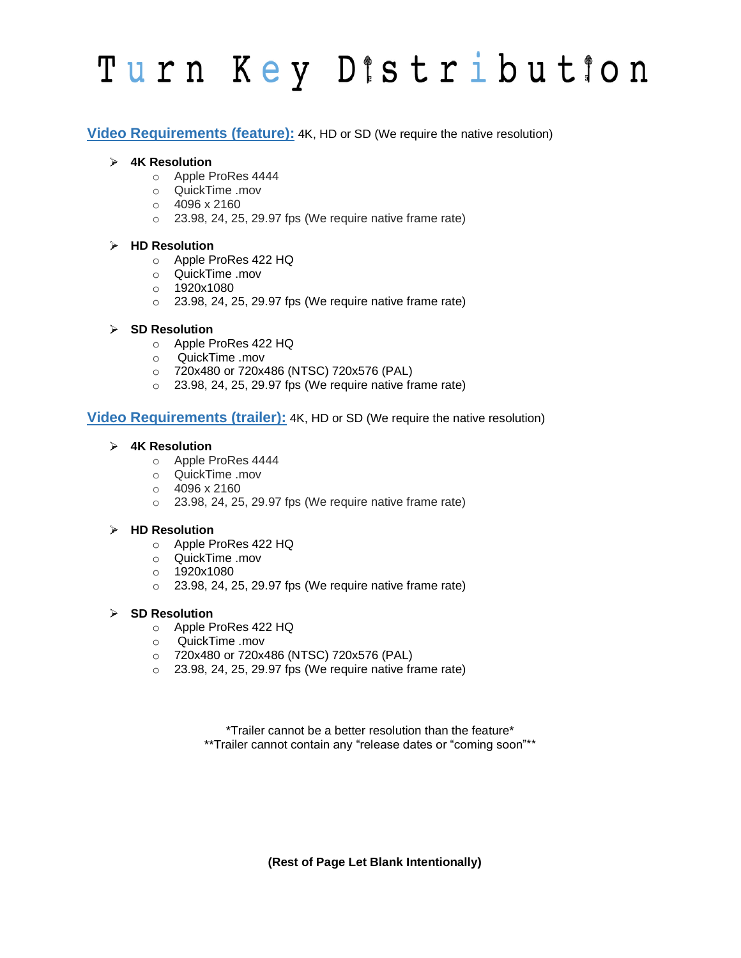# Turn Key Distribution

**Video Requirements (feature):** 4K, HD or SD (We require the native resolution)

## **4K Resolution**

- o Apple ProRes 4444
- o QuickTime .mov
- o 4096 x 2160
- $\circ$  23.98, 24, 25, 29.97 fps (We require native frame rate)

## **HD Resolution**

- o Apple ProRes 422 HQ
- o QuickTime .mov
- o 1920x1080
- $\circ$  23.98, 24, 25, 29.97 fps (We require native frame rate)

## **SD Resolution**

- o Apple ProRes 422 HQ
- o QuickTime .mov
- o 720x480 or 720x486 (NTSC) 720x576 (PAL)
- $\circ$  23.98, 24, 25, 29.97 fps (We require native frame rate)

## **Video Requirements (trailer):** 4K, HD or SD (We require the native resolution)

## **4K Resolution**

- o Apple ProRes 4444
- o QuickTime .mov
- $\circ$  4096 x 2160
- $\circ$  23.98, 24, 25, 29.97 fps (We require native frame rate)

#### **HD Resolution**

- o Apple ProRes 422 HQ
- o QuickTime .mov
- o 1920x1080
- $\circ$  23.98, 24, 25, 29.97 fps (We require native frame rate)

#### **SD Resolution**

- o Apple ProRes 422 HQ
- o QuickTime .mov
- o 720x480 or 720x486 (NTSC) 720x576 (PAL)
- $\circ$  23.98, 24, 25, 29.97 fps (We require native frame rate)

\*Trailer cannot be a better resolution than the feature\* \*\*Trailer cannot contain any "release dates or "coming soon"\*\*

**(Rest of Page Let Blank Intentionally)**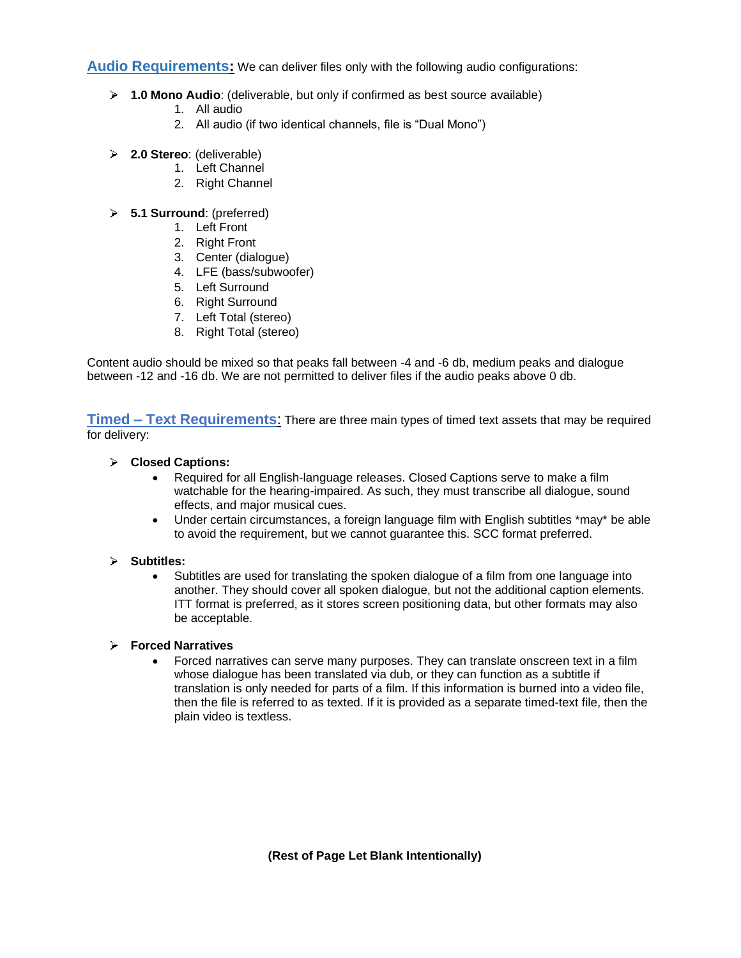**Audio Requirements:** We can deliver files only with the following audio configurations:

- **1.0 Mono Audio**: (deliverable, but only if confirmed as best source available)
	- 1. All audio
	- 2. All audio (if two identical channels, file is "Dual Mono")
- **2.0 Stereo**: (deliverable)
	- 1. Left Channel
	- 2. Right Channel
- **5.1 Surround**: (preferred)
	- 1. Left Front
	- 2. Right Front
	- 3. Center (dialogue)
	- 4. LFE (bass/subwoofer)
	- 5. Left Surround
	- 6. Right Surround
	- 7. Left Total (stereo)
	- 8. Right Total (stereo)

Content audio should be mixed so that peaks fall between -4 and -6 db, medium peaks and dialogue between -12 and -16 db. We are not permitted to deliver files if the audio peaks above 0 db.

**Timed – Text Requirements**: There are three main types of timed text assets that may be required for delivery:

## **Closed Captions:**

- Required for all English-language releases. Closed Captions serve to make a film watchable for the hearing-impaired. As such, they must transcribe all dialogue, sound effects, and major musical cues.
- Under certain circumstances, a foreign language film with English subtitles \*may\* be able to avoid the requirement, but we cannot guarantee this. SCC format preferred.

#### **Subtitles:**

• Subtitles are used for translating the spoken dialogue of a film from one language into another. They should cover all spoken dialogue, but not the additional caption elements. ITT format is preferred, as it stores screen positioning data, but other formats may also be acceptable.

## **Forced Narratives**

• Forced narratives can serve many purposes. They can translate onscreen text in a film whose dialogue has been translated via dub, or they can function as a subtitle if translation is only needed for parts of a film. If this information is burned into a video file, then the file is referred to as texted. If it is provided as a separate timed-text file, then the plain video is textless.